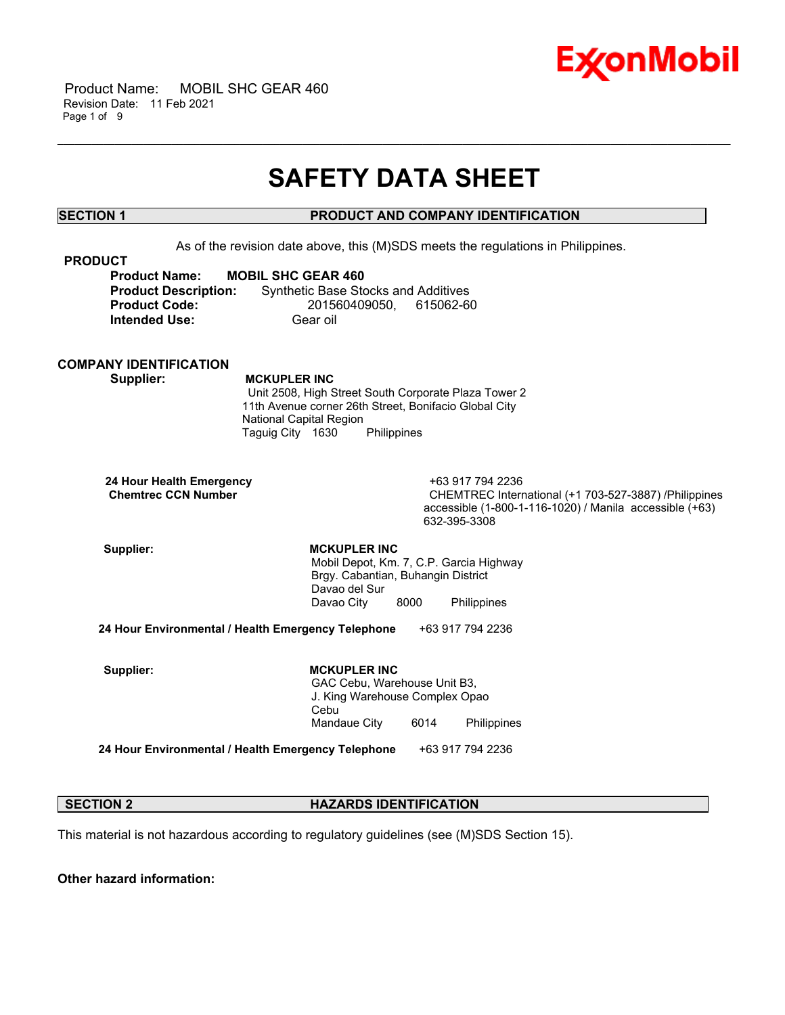

 Product Name: MOBIL SHC GEAR 460 Revision Date: 11 Feb 2021 Page 1 of 9

## **SAFETY DATA SHEET**

\_\_\_\_\_\_\_\_\_\_\_\_\_\_\_\_\_\_\_\_\_\_\_\_\_\_\_\_\_\_\_\_\_\_\_\_\_\_\_\_\_\_\_\_\_\_\_\_\_\_\_\_\_\_\_\_\_\_\_\_\_\_\_\_\_\_\_\_\_\_\_\_\_\_\_\_\_\_\_\_\_\_\_\_\_\_\_\_\_\_\_\_\_\_\_\_\_\_\_\_\_\_\_\_\_\_\_\_\_\_\_\_\_\_\_\_\_\_

## **SECTION 1 PRODUCT AND COMPANY IDENTIFICATION**

As of the revision date above, this (M)SDS meets the regulations in Philippines.

| <b>PRODUCT</b>              |                                            |
|-----------------------------|--------------------------------------------|
| <b>Product Name:</b>        | <b>MOBIL SHC GEAR 460</b>                  |
| <b>Product Description:</b> | <b>Synthetic Base Stocks and Additives</b> |
| <b>Product Code:</b>        | 201560409050. 615062-60                    |
| <b>Intended Use:</b>        | Gear oil                                   |

### **COMPANY IDENTIFICATION**

 **Supplier: MCKUPLER INC**

 Unit 2508, High Street South Corporate Plaza Tower 2 11th Avenue corner 26th Street, Bonifacio Global City National Capital Region Taguig City 1630 Philippines

| 24 Hour Health Emergency   |  |
|----------------------------|--|
| <b>Chemtrec CCN Number</b> |  |

 **24 Hour Health Emergency** +63 917 794 2236 CHEMTREC International (+1 703-527-3887) /Philippines accessible (1-800-1-116-1020) / Manila accessible (+63) 632-395-3308

Supplier: **MCKUPLER INC**  Mobil Depot, Km. 7, C.P. Garcia Highway Brgy. Cabantian, Buhangin District Davao del Sur Davao City 8000 Philippines

**24 Hour Environmental / Health Emergency Telephone** +63 917 794 2236

Supplier: **MCKUPLER INC**  GAC Cebu, Warehouse Unit B3, J. King Warehouse Complex Opao Cebu Mandaue City 6014 Philippines

**24 Hour Environmental / Health Emergency Telephone** +63 917 794 2236

### **SECTION 2 HAZARDS IDENTIFICATION**

This material is not hazardous according to regulatory guidelines (see (M)SDS Section 15).

**Other hazard information:**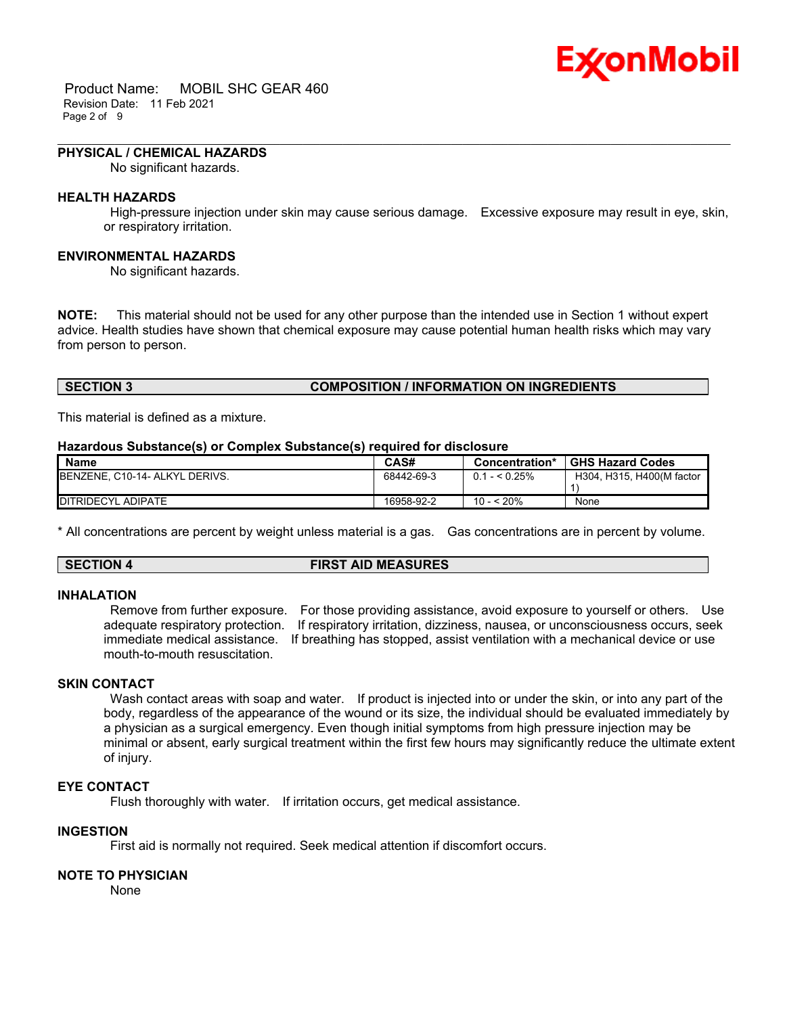# Ex⁄onMobil

 Product Name: MOBIL SHC GEAR 460 Revision Date: 11 Feb 2021 Page 2 of 9

#### **PHYSICAL / CHEMICAL HAZARDS**

No significant hazards.

#### **HEALTH HAZARDS**

 High-pressure injection under skin may cause serious damage. Excessive exposure may result in eye, skin, or respiratory irritation.

\_\_\_\_\_\_\_\_\_\_\_\_\_\_\_\_\_\_\_\_\_\_\_\_\_\_\_\_\_\_\_\_\_\_\_\_\_\_\_\_\_\_\_\_\_\_\_\_\_\_\_\_\_\_\_\_\_\_\_\_\_\_\_\_\_\_\_\_\_\_\_\_\_\_\_\_\_\_\_\_\_\_\_\_\_\_\_\_\_\_\_\_\_\_\_\_\_\_\_\_\_\_\_\_\_\_\_\_\_\_\_\_\_\_\_\_\_\_

#### **ENVIRONMENTAL HAZARDS**

No significant hazards.

**NOTE:** This material should not be used for any other purpose than the intended use in Section 1 without expert advice. Health studies have shown that chemical exposure may cause potential human health risks which may vary from person to person.

#### **SECTION 3 COMPOSITION / INFORMATION ON INGREDIENTS**

This material is defined as a mixture.

#### **Hazardous Substance(s) or Complex Substance(s) required for disclosure**

| <b>Name</b>                            | CAS#       | Concentration* | <b>GHS Hazard Codes</b>   |
|----------------------------------------|------------|----------------|---------------------------|
| <b>IBENZENE, C10-14- ALKYL DERIVS.</b> | 68442-69-3 | $0.1 - 5.25\%$ | H304, H315, H400(M factor |
|                                        |            |                |                           |
| DITRIDECYL ADIPATE                     | 16958-92-2 | 10 - < 20%     | None                      |

\* All concentrations are percent by weight unless material is a gas. Gas concentrations are in percent by volume.

#### **SECTION 4 FIRST AID MEASURES**

#### **INHALATION**

 Remove from further exposure. For those providing assistance, avoid exposure to yourself or others. Use adequate respiratory protection. If respiratory irritation, dizziness, nausea, or unconsciousness occurs, seek immediate medical assistance. If breathing has stopped, assist ventilation with a mechanical device or use mouth-to-mouth resuscitation.

### **SKIN CONTACT**

Wash contact areas with soap and water. If product is injected into or under the skin, or into any part of the body, regardless of the appearance of the wound or its size, the individual should be evaluated immediately by a physician as a surgical emergency. Even though initial symptoms from high pressure injection may be minimal or absent, early surgical treatment within the first few hours may significantly reduce the ultimate extent of injury.

#### **EYE CONTACT**

Flush thoroughly with water. If irritation occurs, get medical assistance.

#### **INGESTION**

First aid is normally not required. Seek medical attention if discomfort occurs.

#### **NOTE TO PHYSICIAN**

None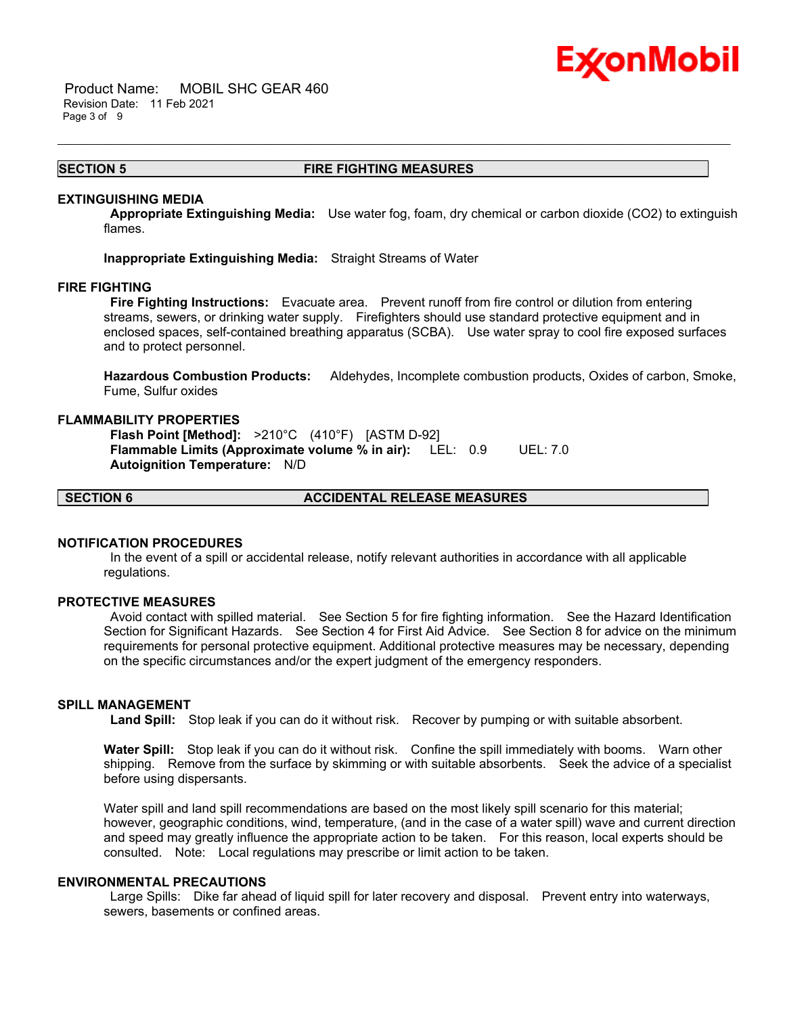## Ex⁄onMobil

 Product Name: MOBIL SHC GEAR 460 Revision Date: 11 Feb 2021 Page 3 of 9

#### **SECTION 5 FIRE FIGHTING MEASURES**

\_\_\_\_\_\_\_\_\_\_\_\_\_\_\_\_\_\_\_\_\_\_\_\_\_\_\_\_\_\_\_\_\_\_\_\_\_\_\_\_\_\_\_\_\_\_\_\_\_\_\_\_\_\_\_\_\_\_\_\_\_\_\_\_\_\_\_\_\_\_\_\_\_\_\_\_\_\_\_\_\_\_\_\_\_\_\_\_\_\_\_\_\_\_\_\_\_\_\_\_\_\_\_\_\_\_\_\_\_\_\_\_\_\_\_\_\_\_

#### **EXTINGUISHING MEDIA**

 **Appropriate Extinguishing Media:** Use water fog, foam, dry chemical or carbon dioxide (CO2) to extinguish flames.

**Inappropriate Extinguishing Media:** Straight Streams of Water

#### **FIRE FIGHTING**

 **Fire Fighting Instructions:** Evacuate area. Prevent runoff from fire control or dilution from entering streams, sewers, or drinking water supply. Firefighters should use standard protective equipment and in enclosed spaces, self-contained breathing apparatus (SCBA). Use water spray to cool fire exposed surfaces and to protect personnel.

**Hazardous Combustion Products:** Aldehydes, Incomplete combustion products, Oxides of carbon, Smoke, Fume, Sulfur oxides

#### **FLAMMABILITY PROPERTIES**

 **Flash Point [Method]:** >210°C (410°F) [ASTM D-92]  **Flammable Limits (Approximate volume % in air):** LEL: 0.9 UEL: 7.0  **Autoignition Temperature:** N/D

**SECTION 6 ACCIDENTAL RELEASE MEASURES**

#### **NOTIFICATION PROCEDURES**

 In the event of a spill or accidental release, notify relevant authorities in accordance with all applicable regulations.

#### **PROTECTIVE MEASURES**

 Avoid contact with spilled material. See Section 5 for fire fighting information. See the Hazard Identification Section for Significant Hazards. See Section 4 for First Aid Advice. See Section 8 for advice on the minimum requirements for personal protective equipment. Additional protective measures may be necessary, depending on the specific circumstances and/or the expert judgment of the emergency responders.

## **SPILL MANAGEMENT**

 **Land Spill:** Stop leak if you can do it without risk. Recover by pumping or with suitable absorbent.

**Water Spill:** Stop leak if you can do it without risk. Confine the spill immediately with booms. Warn other shipping. Remove from the surface by skimming or with suitable absorbents. Seek the advice of a specialist before using dispersants.

Water spill and land spill recommendations are based on the most likely spill scenario for this material; however, geographic conditions, wind, temperature, (and in the case of a water spill) wave and current direction and speed may greatly influence the appropriate action to be taken. For this reason, local experts should be consulted. Note: Local regulations may prescribe or limit action to be taken.

#### **ENVIRONMENTAL PRECAUTIONS**

 Large Spills: Dike far ahead of liquid spill for later recovery and disposal. Prevent entry into waterways, sewers, basements or confined areas.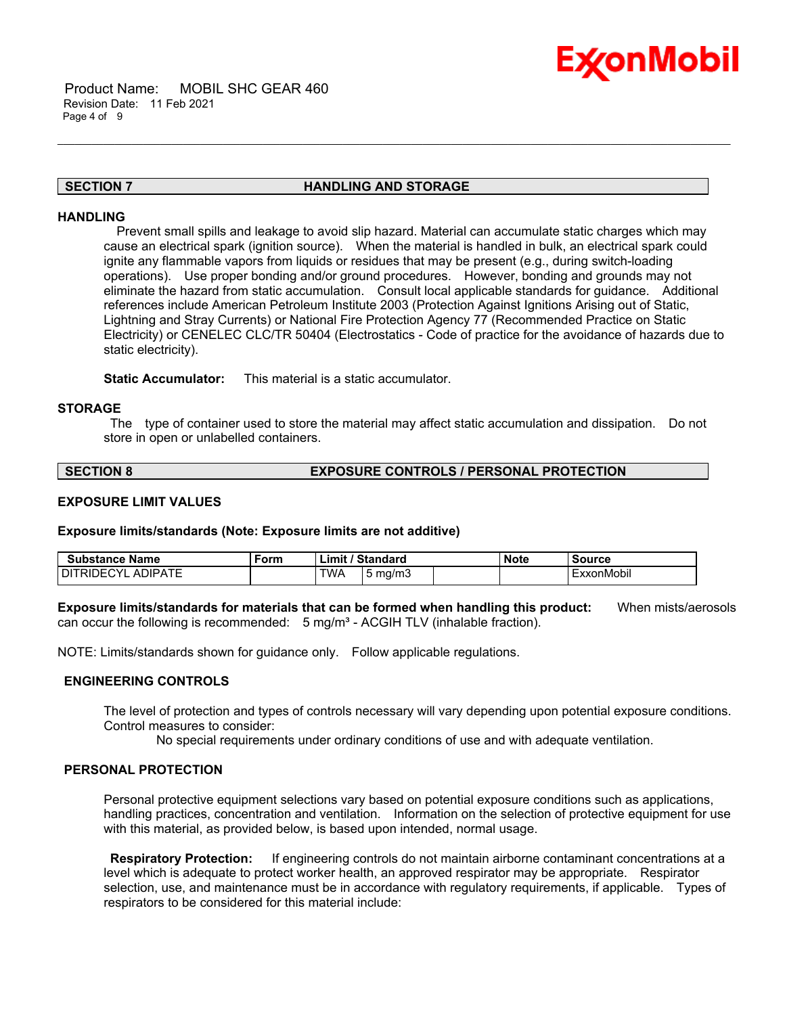

#### **SECTION 7 HANDLING AND STORAGE**

\_\_\_\_\_\_\_\_\_\_\_\_\_\_\_\_\_\_\_\_\_\_\_\_\_\_\_\_\_\_\_\_\_\_\_\_\_\_\_\_\_\_\_\_\_\_\_\_\_\_\_\_\_\_\_\_\_\_\_\_\_\_\_\_\_\_\_\_\_\_\_\_\_\_\_\_\_\_\_\_\_\_\_\_\_\_\_\_\_\_\_\_\_\_\_\_\_\_\_\_\_\_\_\_\_\_\_\_\_\_\_\_\_\_\_\_\_\_

#### **HANDLING**

 Prevent small spills and leakage to avoid slip hazard. Material can accumulate static charges which may cause an electrical spark (ignition source). When the material is handled in bulk, an electrical spark could ignite any flammable vapors from liquids or residues that may be present (e.g., during switch-loading operations). Use proper bonding and/or ground procedures. However, bonding and grounds may not eliminate the hazard from static accumulation. Consult local applicable standards for guidance. Additional references include American Petroleum Institute 2003 (Protection Against Ignitions Arising out of Static, Lightning and Stray Currents) or National Fire Protection Agency 77 (Recommended Practice on Static Electricity) or CENELEC CLC/TR 50404 (Electrostatics - Code of practice for the avoidance of hazards due to static electricity).

**Static Accumulator:** This material is a static accumulator.

#### **STORAGE**

 The type of container used to store the material may affect static accumulation and dissipation. Do not store in open or unlabelled containers.

#### **SECTION 8 EXPOSURE CONTROLS / PERSONAL PROTECTION**

#### **EXPOSURE LIMIT VALUES**

**Exposure limits/standards (Note: Exposure limits are not additive)**

| Substance Name                          | Form | Standard<br>'∟imi\ |            | <b>Note</b> | Source |            |
|-----------------------------------------|------|--------------------|------------|-------------|--------|------------|
| . ADIPATE<br>DI.<br>$\cdot$<br>1⊢<br>RШ |      | TWA                | mg/m.<br>ັ |             |        | ExxonMobil |

**Exposure limits/standards for materials that can be formed when handling this product:** When mists/aerosols can occur the following is recommended:  $5 \text{ mg/m}^3$  - ACGIH TLV (inhalable fraction).

NOTE: Limits/standards shown for guidance only. Follow applicable regulations.

#### **ENGINEERING CONTROLS**

The level of protection and types of controls necessary will vary depending upon potential exposure conditions. Control measures to consider:

No special requirements under ordinary conditions of use and with adequate ventilation.

#### **PERSONAL PROTECTION**

Personal protective equipment selections vary based on potential exposure conditions such as applications, handling practices, concentration and ventilation. Information on the selection of protective equipment for use with this material, as provided below, is based upon intended, normal usage.

 **Respiratory Protection:** If engineering controls do not maintain airborne contaminant concentrations at a level which is adequate to protect worker health, an approved respirator may be appropriate. Respirator selection, use, and maintenance must be in accordance with regulatory requirements, if applicable. Types of respirators to be considered for this material include: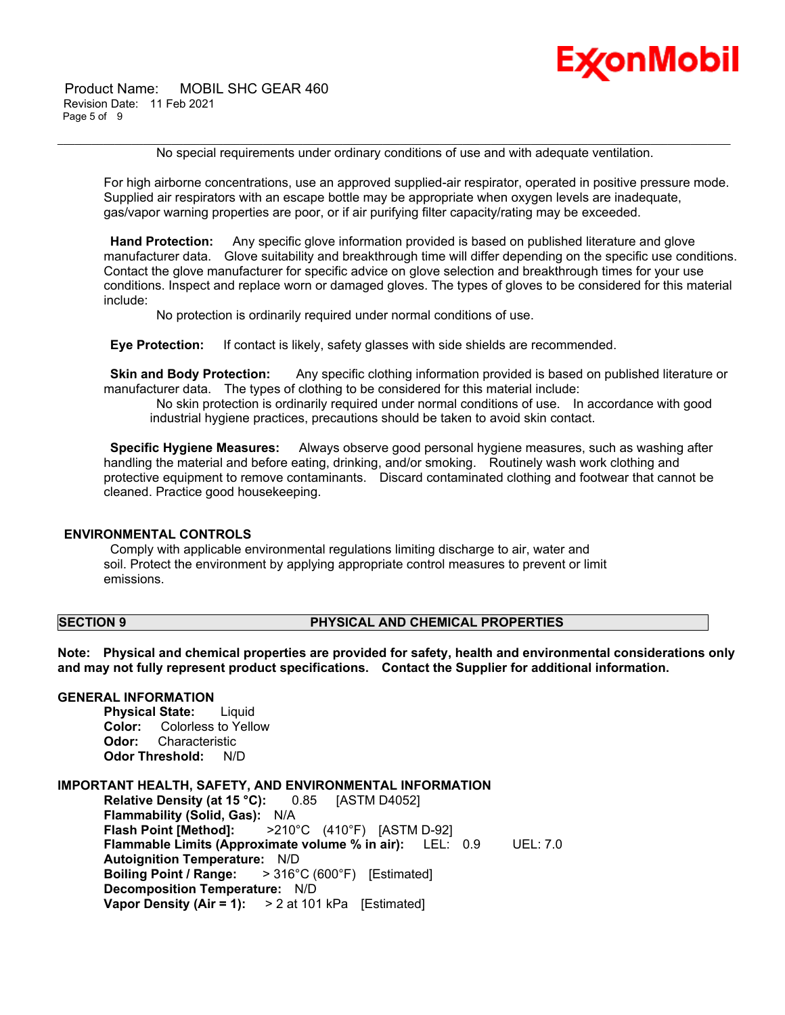Product Name: MOBIL SHC GEAR 460 Revision Date: 11 Feb 2021 Page 5 of 9



No special requirements under ordinary conditions of use and with adequate ventilation.

\_\_\_\_\_\_\_\_\_\_\_\_\_\_\_\_\_\_\_\_\_\_\_\_\_\_\_\_\_\_\_\_\_\_\_\_\_\_\_\_\_\_\_\_\_\_\_\_\_\_\_\_\_\_\_\_\_\_\_\_\_\_\_\_\_\_\_\_\_\_\_\_\_\_\_\_\_\_\_\_\_\_\_\_\_\_\_\_\_\_\_\_\_\_\_\_\_\_\_\_\_\_\_\_\_\_\_\_\_\_\_\_\_\_\_\_\_\_

For high airborne concentrations, use an approved supplied-air respirator, operated in positive pressure mode. Supplied air respirators with an escape bottle may be appropriate when oxygen levels are inadequate, gas/vapor warning properties are poor, or if air purifying filter capacity/rating may be exceeded.

 **Hand Protection:** Any specific glove information provided is based on published literature and glove manufacturer data. Glove suitability and breakthrough time will differ depending on the specific use conditions. Contact the glove manufacturer for specific advice on glove selection and breakthrough times for your use conditions. Inspect and replace worn or damaged gloves. The types of gloves to be considered for this material include:

No protection is ordinarily required under normal conditions of use.

 **Eye Protection:** If contact is likely, safety glasses with side shields are recommended.

**Skin and Body Protection:** Any specific clothing information provided is based on published literature or manufacturer data. The types of clothing to be considered for this material include:

 No skin protection is ordinarily required under normal conditions of use. In accordance with good industrial hygiene practices, precautions should be taken to avoid skin contact.

 **Specific Hygiene Measures:** Always observe good personal hygiene measures, such as washing after handling the material and before eating, drinking, and/or smoking. Routinely wash work clothing and protective equipment to remove contaminants. Discard contaminated clothing and footwear that cannot be cleaned. Practice good housekeeping.

#### **ENVIRONMENTAL CONTROLS**

 Comply with applicable environmental regulations limiting discharge to air, water and soil. Protect the environment by applying appropriate control measures to prevent or limit emissions.

#### **SECTION 9 PHYSICAL AND CHEMICAL PROPERTIES**

**Note: Physical and chemical properties are provided for safety, health and environmental considerations only and may not fully represent product specifications. Contact the Supplier for additional information.**

## **GENERAL INFORMATION**

**Physical State:** Liquid **Color:** Colorless to Yellow **Odor:** Characteristic **Odor Threshold:** N/D

#### **IMPORTANT HEALTH, SAFETY, AND ENVIRONMENTAL INFORMATION**

**Relative Density (at 15 °C):** 0.85 [ASTM D4052] **Flammability (Solid, Gas):** N/A **Flash Point [Method]:** >210°C (410°F) [ASTM D-92] **Flammable Limits (Approximate volume % in air):** LEL: 0.9 UEL: 7.0 **Autoignition Temperature:** N/D **Boiling Point / Range:** > 316°C (600°F) [Estimated] **Decomposition Temperature:** N/D **Vapor Density (Air = 1):** > 2 at 101 kPa [Estimated]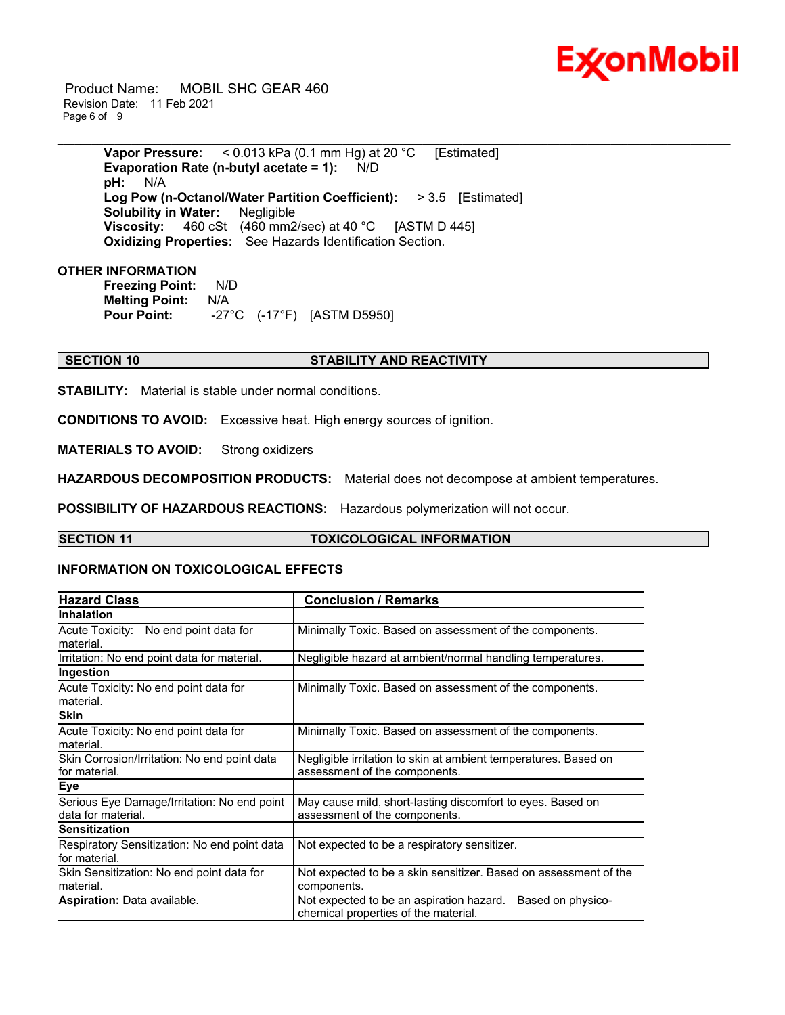

 Product Name: MOBIL SHC GEAR 460 Revision Date: 11 Feb 2021 Page 6 of 9

> **Vapor Pressure:** < 0.013 kPa (0.1 mm Hg) at 20 °C [Estimated] **Evaporation Rate (n-butyl acetate = 1):** N/D **pH:** N/A **Log Pow (n-Octanol/Water Partition Coefficient):** > 3.5 [Estimated] **Solubility in Water:** Negligible **Viscosity:** 460 cSt (460 mm2/sec) at 40 °C [ASTM D 445] **Oxidizing Properties:** See Hazards Identification Section.

\_\_\_\_\_\_\_\_\_\_\_\_\_\_\_\_\_\_\_\_\_\_\_\_\_\_\_\_\_\_\_\_\_\_\_\_\_\_\_\_\_\_\_\_\_\_\_\_\_\_\_\_\_\_\_\_\_\_\_\_\_\_\_\_\_\_\_\_\_\_\_\_\_\_\_\_\_\_\_\_\_\_\_\_\_\_\_\_\_\_\_\_\_\_\_\_\_\_\_\_\_\_\_\_\_\_\_\_\_\_\_\_\_\_\_\_\_\_

#### **OTHER INFORMATION**

**Freezing Point:** N/D **Melting Point:** N/A **Pour Point:** -27°C (-17°F) [ASTM D5950]

## **SECTION 10 STABILITY AND REACTIVITY**

**STABILITY:** Material is stable under normal conditions.

**CONDITIONS TO AVOID:** Excessive heat. High energy sources of ignition.

**MATERIALS TO AVOID:** Strong oxidizers

**HAZARDOUS DECOMPOSITION PRODUCTS:** Material does not decompose at ambient temperatures.

**POSSIBILITY OF HAZARDOUS REACTIONS:** Hazardous polymerization will not occur.

### **SECTION 11 TOXICOLOGICAL INFORMATION**

#### **INFORMATION ON TOXICOLOGICAL EFFECTS**

| <b>Hazard Class</b>                                               | <b>Conclusion / Remarks</b>                                                                           |  |
|-------------------------------------------------------------------|-------------------------------------------------------------------------------------------------------|--|
| <b>Inhalation</b>                                                 |                                                                                                       |  |
| Acute Toxicity: No end point data for<br>lmaterial.               | Minimally Toxic. Based on assessment of the components.                                               |  |
| Irritation: No end point data for material.                       | Negligible hazard at ambient/normal handling temperatures.                                            |  |
| Ingestion                                                         |                                                                                                       |  |
| Acute Toxicity: No end point data for<br>lmaterial.               | Minimally Toxic. Based on assessment of the components.                                               |  |
| <b>Skin</b>                                                       |                                                                                                       |  |
| Acute Toxicity: No end point data for<br>lmaterial.               | Minimally Toxic. Based on assessment of the components.                                               |  |
| Skin Corrosion/Irritation: No end point data<br>for material.     | Negligible irritation to skin at ambient temperatures. Based on<br>assessment of the components.      |  |
| <b>Eye</b>                                                        |                                                                                                       |  |
| Serious Eye Damage/Irritation: No end point<br>data for material. | May cause mild, short-lasting discomfort to eyes. Based on<br>assessment of the components.           |  |
| <b>Sensitization</b>                                              |                                                                                                       |  |
| Respiratory Sensitization: No end point data<br>lfor material.    | Not expected to be a respiratory sensitizer.                                                          |  |
| Skin Sensitization: No end point data for<br>lmaterial.           | Not expected to be a skin sensitizer. Based on assessment of the<br>components.                       |  |
| <b>Aspiration: Data available.</b>                                | Based on physico-<br>Not expected to be an aspiration hazard.<br>chemical properties of the material. |  |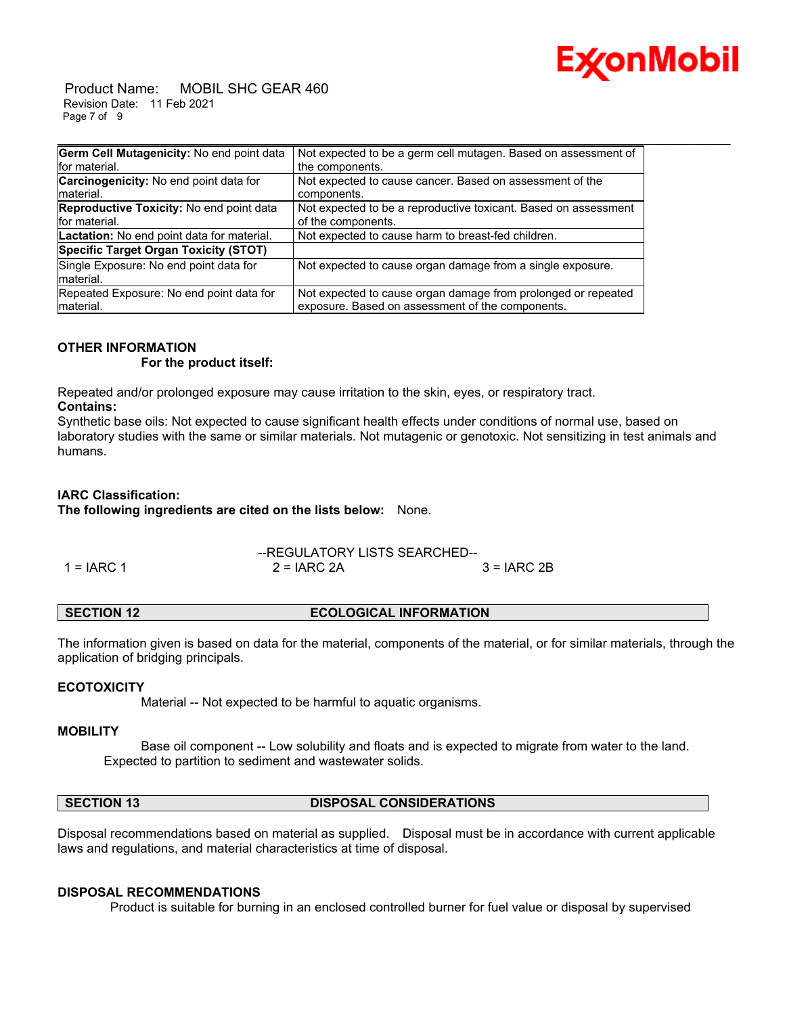

 Product Name: MOBIL SHC GEAR 460 Revision Date: 11 Feb 2021 Page 7 of 9

| Germ Cell Mutagenicity: No end point data     | Not expected to be a germ cell mutagen. Based on assessment of  |
|-----------------------------------------------|-----------------------------------------------------------------|
| for material.                                 | the components.                                                 |
| <b>Carcinogenicity:</b> No end point data for | Not expected to cause cancer. Based on assessment of the        |
| Imaterial.                                    | components.                                                     |
| Reproductive Toxicity: No end point data      | Not expected to be a reproductive toxicant. Based on assessment |
| for material.                                 | of the components.                                              |
| Lactation: No end point data for material.    | Not expected to cause harm to breast-fed children.              |
| Specific Target Organ Toxicity (STOT)         |                                                                 |
| Single Exposure: No end point data for        | Not expected to cause organ damage from a single exposure.      |
| material.                                     |                                                                 |
| Repeated Exposure: No end point data for      | Not expected to cause organ damage from prolonged or repeated   |
| material.                                     | exposure. Based on assessment of the components.                |

## **OTHER INFORMATION**

 **For the product itself:** 

Repeated and/or prolonged exposure may cause irritation to the skin, eyes, or respiratory tract. **Contains:**

Synthetic base oils: Not expected to cause significant health effects under conditions of normal use, based on laboratory studies with the same or similar materials. Not mutagenic or genotoxic. Not sensitizing in test animals and humans.

#### **IARC Classification:**

**The following ingredients are cited on the lists below:** None.

|              | --REGULATORY LISTS SEARCHED-- |               |
|--------------|-------------------------------|---------------|
| $1 = IARC 1$ | $2 = IARC 2A$                 | $3 = IARC 2B$ |

| <b>SECTION 12</b> | <b>ECOLOGICAL INFORMATION</b> |
|-------------------|-------------------------------|
|-------------------|-------------------------------|

The information given is based on data for the material, components of the material, or for similar materials, through the application of bridging principals.

#### **ECOTOXICITY**

Material -- Not expected to be harmful to aquatic organisms.

#### **MOBILITY**

 Base oil component -- Low solubility and floats and is expected to migrate from water to the land. Expected to partition to sediment and wastewater solids.

**SECTION 13 DISPOSAL CONSIDERATIONS** 

Disposal recommendations based on material as supplied. Disposal must be in accordance with current applicable laws and regulations, and material characteristics at time of disposal.

#### **DISPOSAL RECOMMENDATIONS**

Product is suitable for burning in an enclosed controlled burner for fuel value or disposal by supervised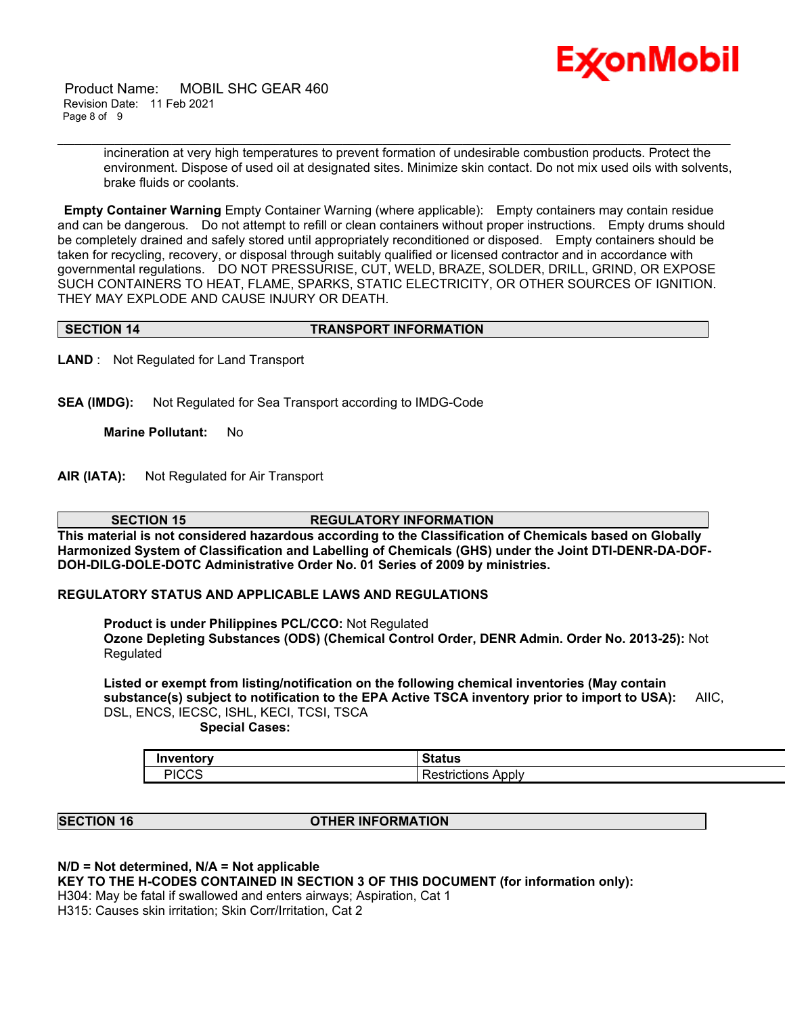

 Product Name: MOBIL SHC GEAR 460 Revision Date: 11 Feb 2021 Page 8 of 9

> incineration at very high temperatures to prevent formation of undesirable combustion products. Protect the environment. Dispose of used oil at designated sites. Minimize skin contact. Do not mix used oils with solvents, brake fluids or coolants.

**Empty Container Warning** Empty Container Warning (where applicable): Empty containers may contain residue and can be dangerous. Do not attempt to refill or clean containers without proper instructions. Empty drums should be completely drained and safely stored until appropriately reconditioned or disposed. Empty containers should be taken for recycling, recovery, or disposal through suitably qualified or licensed contractor and in accordance with governmental regulations. DO NOT PRESSURISE, CUT, WELD, BRAZE, SOLDER, DRILL, GRIND, OR EXPOSE SUCH CONTAINERS TO HEAT, FLAME, SPARKS, STATIC ELECTRICITY, OR OTHER SOURCES OF IGNITION. THEY MAY EXPLODE AND CAUSE INJURY OR DEATH.

\_\_\_\_\_\_\_\_\_\_\_\_\_\_\_\_\_\_\_\_\_\_\_\_\_\_\_\_\_\_\_\_\_\_\_\_\_\_\_\_\_\_\_\_\_\_\_\_\_\_\_\_\_\_\_\_\_\_\_\_\_\_\_\_\_\_\_\_\_\_\_\_\_\_\_\_\_\_\_\_\_\_\_\_\_\_\_\_\_\_\_\_\_\_\_\_\_\_\_\_\_\_\_\_\_\_\_\_\_\_\_\_\_\_\_\_\_\_

#### **SECTION 14 TRANSPORT INFORMATION**

**LAND** : Not Regulated for Land Transport

**SEA (IMDG):** Not Regulated for Sea Transport according to IMDG-Code

**Marine Pollutant:** No

**AIR (IATA):** Not Regulated for Air Transport

**SECTION 15 REGULATORY INFORMATION This material is not considered hazardous according to the Classification of Chemicals based on Globally Harmonized System of Classification and Labelling of Chemicals (GHS) under the Joint DTI-DENR-DA-DOF-**

**DOH-DILG-DOLE-DOTC Administrative Order No. 01 Series of 2009 by ministries.**

#### **REGULATORY STATUS AND APPLICABLE LAWS AND REGULATIONS**

**Product is under Philippines PCL/CCO:** Not Regulated **Ozone Depleting Substances (ODS) (Chemical Control Order, DENR Admin. Order No. 2013-25):** Not

Regulated

**Listed or exempt from listing/notification on the following chemical inventories (May contain substance(s) subject to notification to the EPA Active TSCA inventory prior to import to USA):** AIIC, DSL, ENCS, IECSC, ISHL, KECI, TCSI, TSCA  **Special Cases:**

**Inventory Status** PICCS Restrictions Apply

#### **SECTION 16 OTHER INFORMATION**

**N/D = Not determined, N/A = Not applicable**

**KEY TO THE H-CODES CONTAINED IN SECTION 3 OF THIS DOCUMENT (for information only):**

H304: May be fatal if swallowed and enters airways; Aspiration, Cat 1

H315: Causes skin irritation; Skin Corr/Irritation, Cat 2